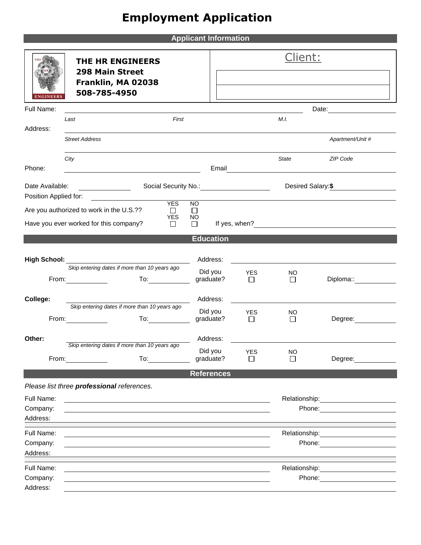## **Employment Application**

**Applicant Information**

|                                                                                                                                                                                                                                                   | <b>THE HR ENGINEERS</b><br><b>298 Main Street</b>                                                                                                                                                                                                       |                                                                                                                |  |                      | <u>Client:</u>     |                                                                                                                                                                                                                                |  |
|---------------------------------------------------------------------------------------------------------------------------------------------------------------------------------------------------------------------------------------------------|---------------------------------------------------------------------------------------------------------------------------------------------------------------------------------------------------------------------------------------------------------|----------------------------------------------------------------------------------------------------------------|--|----------------------|--------------------|--------------------------------------------------------------------------------------------------------------------------------------------------------------------------------------------------------------------------------|--|
| <b>ENGINEERS</b>                                                                                                                                                                                                                                  | Franklin, MA 02038<br>508-785-4950                                                                                                                                                                                                                      |                                                                                                                |  |                      |                    |                                                                                                                                                                                                                                |  |
| Full Name:                                                                                                                                                                                                                                        |                                                                                                                                                                                                                                                         |                                                                                                                |  |                      |                    |                                                                                                                                                                                                                                |  |
| Address:                                                                                                                                                                                                                                          | First<br>Last                                                                                                                                                                                                                                           |                                                                                                                |  | M.I.                 |                    |                                                                                                                                                                                                                                |  |
|                                                                                                                                                                                                                                                   | <b>Street Address</b>                                                                                                                                                                                                                                   |                                                                                                                |  |                      |                    | Apartment/Unit #                                                                                                                                                                                                               |  |
| Phone:                                                                                                                                                                                                                                            | City                                                                                                                                                                                                                                                    |                                                                                                                |  |                      | <b>State</b>       | ZIP Code                                                                                                                                                                                                                       |  |
| Date Available:<br>Social Security No.: \\cdot \\cdot \\cdot \\cdot \\cdot \\cdot \\cdot \\cdot \\cdot \\cdot \\cdot \\cdot \\cdot \\cdot \\cdot \\cdot \\cdot \\cdot \\cdot \\cdot \\cdot \\cdot \\cdot \\cdot \\cdot \\cdot \\cdot \\cdot \\cdo |                                                                                                                                                                                                                                                         |                                                                                                                |  |                      | Desired Salary: \$ |                                                                                                                                                                                                                                |  |
| Position Applied for:                                                                                                                                                                                                                             | <b>YES</b><br>Are you authorized to work in the U.S.??<br>П                                                                                                                                                                                             | <b>NO</b><br>Ш                                                                                                 |  |                      |                    |                                                                                                                                                                                                                                |  |
|                                                                                                                                                                                                                                                   | <b>YES</b><br>Have you ever worked for this company?<br>$\Box$                                                                                                                                                                                          | NO.<br>$\Box$                                                                                                  |  |                      |                    |                                                                                                                                                                                                                                |  |
|                                                                                                                                                                                                                                                   |                                                                                                                                                                                                                                                         | <b>Education</b>                                                                                               |  |                      |                    |                                                                                                                                                                                                                                |  |
| <b>High School:</b>                                                                                                                                                                                                                               | Skip entering dates if more than 10 years ago                                                                                                                                                                                                           | Address:                                                                                                       |  |                      |                    |                                                                                                                                                                                                                                |  |
|                                                                                                                                                                                                                                                   | $\overline{a}$ To: $\overline{a}$                                                                                                                                                                                                                       | Did you<br>graduate?                                                                                           |  | <b>YES</b><br>$\Box$ | NO<br>□            | Diploma:: __________                                                                                                                                                                                                           |  |
| College:                                                                                                                                                                                                                                          |                                                                                                                                                                                                                                                         | Address:                                                                                                       |  |                      |                    |                                                                                                                                                                                                                                |  |
|                                                                                                                                                                                                                                                   | Skip entering dates if more than 10 years ago                                                                                                                                                                                                           | Did you<br>graduate?                                                                                           |  | YES<br>$\Box$        | NO<br>$\Box$       | Degree:                                                                                                                                                                                                                        |  |
| Other:                                                                                                                                                                                                                                            | Skip entering dates if more than 10 years ago                                                                                                                                                                                                           | Address:                                                                                                       |  |                      |                    |                                                                                                                                                                                                                                |  |
|                                                                                                                                                                                                                                                   | From: $\qquad \qquad$<br>To: the contract of the contract of the contract of the contract of the contract of the contract of the contract of the contract of the contract of the contract of the contract of the contract of the contract of the contra | Did you<br>graduate?                                                                                           |  | YES<br>П             | NO<br>П            | Degree: and the property of the state of the state of the state of the state of the state of the state of the state of the state of the state of the state of the state of the state of the state of the state of the state of |  |
|                                                                                                                                                                                                                                                   |                                                                                                                                                                                                                                                         | <b>References</b>                                                                                              |  |                      |                    |                                                                                                                                                                                                                                |  |
|                                                                                                                                                                                                                                                   | Please list three professional references.                                                                                                                                                                                                              |                                                                                                                |  |                      |                    |                                                                                                                                                                                                                                |  |
| Full Name:<br>Company:                                                                                                                                                                                                                            |                                                                                                                                                                                                                                                         | Relationship: example and all the set of the set of the set of the set of the set of the set of the set of the |  |                      |                    |                                                                                                                                                                                                                                |  |
| Address:                                                                                                                                                                                                                                          |                                                                                                                                                                                                                                                         |                                                                                                                |  |                      |                    |                                                                                                                                                                                                                                |  |
| Full Name:                                                                                                                                                                                                                                        |                                                                                                                                                                                                                                                         |                                                                                                                |  |                      |                    |                                                                                                                                                                                                                                |  |
| Company:<br>Address:                                                                                                                                                                                                                              |                                                                                                                                                                                                                                                         |                                                                                                                |  |                      |                    | Phone: the contract of the contract of the contract of the contract of the contract of the contract of the contract of the contract of the contract of the contract of the contract of the contract of the contract of the con |  |
| Full Name:                                                                                                                                                                                                                                        |                                                                                                                                                                                                                                                         |                                                                                                                |  |                      |                    | Relationship: Network of the set of the set of the set of the set of the set of the set of the set of the set o                                                                                                                |  |
| Company:<br>Address:                                                                                                                                                                                                                              |                                                                                                                                                                                                                                                         |                                                                                                                |  |                      |                    |                                                                                                                                                                                                                                |  |